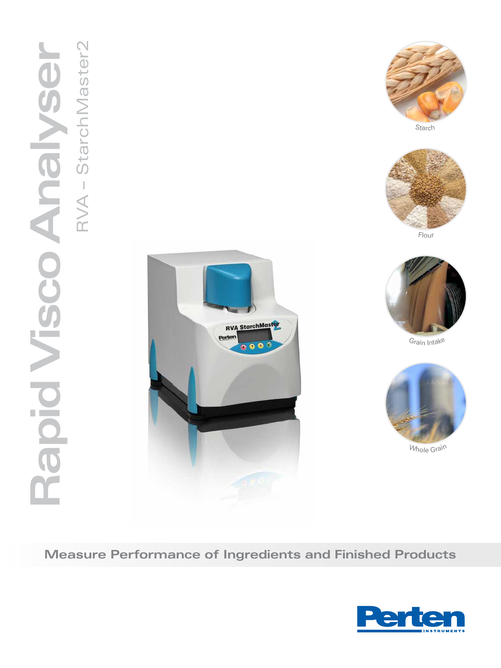



Starch



Flou<sup>r</sup>



G<sup>r</sup>ai<sup>n</sup> <sup>I</sup>ntak<sup>e</sup>



Whole Grain